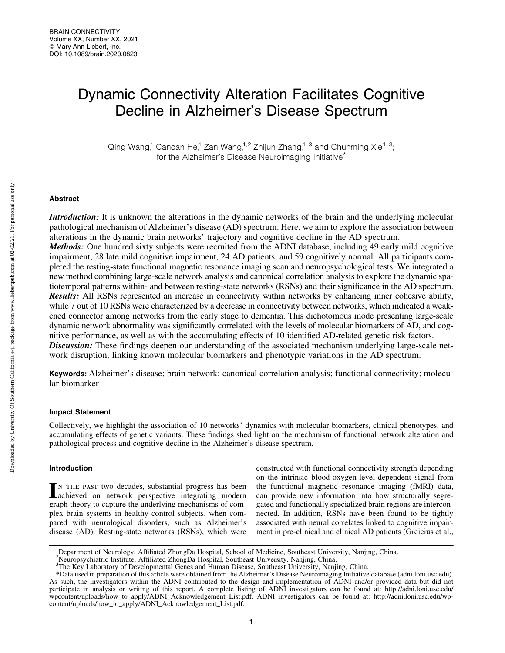# Dynamic Connectivity Alteration Facilitates Cognitive Decline in Alzheimer's Disease Spectrum

Qing Wang,<sup>1</sup> Cancan He,<sup>1</sup> Zan Wang,<sup>1,2</sup> Zhijun Zhang,<sup>1–3</sup> and Chunming Xie<sup>1–3</sup>; for the Alzheimer's Disease Neuroimaging Initiative<sup>\*</sup>

## Abstract

Introduction: It is unknown the alterations in the dynamic networks of the brain and the underlying molecular pathological mechanism of Alzheimer's disease (AD) spectrum. Here, we aim to explore the association between alterations in the dynamic brain networks' trajectory and cognitive decline in the AD spectrum. Methods: One hundred sixty subjects were recruited from the ADNI database, including 49 early mild cognitive impairment, 28 late mild cognitive impairment, 24 AD patients, and 59 cognitively normal. All participants com-

pleted the resting-state functional magnetic resonance imaging scan and neuropsychological tests. We integrated a new method combining large-scale network analysis and canonical correlation analysis to explore the dynamic spatiotemporal patterns within- and between resting-state networks (RSNs) and their significance in the AD spectrum. Results: All RSNs represented an increase in connectivity within networks by enhancing inner cohesive ability, while 7 out of 10 RSNs were characterized by a decrease in connectivity between networks, which indicated a weakened connector among networks from the early stage to dementia. This dichotomous mode presenting large-scale dynamic network abnormality was significantly correlated with the levels of molecular biomarkers of AD, and cognitive performance, as well as with the accumulating effects of 10 identified AD-related genetic risk factors. **Discussion:** These findings deepen our understanding of the associated mechanism underlying large-scale network disruption, linking known molecular biomarkers and phenotypic variations in the AD spectrum.

Keywords: Alzheimer's disease; brain network; canonical correlation analysis; functional connectivity; molecular biomarker

## Impact Statement

Collectively, we highlight the association of 10 networks' dynamics with molecular biomarkers, clinical phenotypes, and accumulating effects of genetic variants. These findings shed light on the mechanism of functional network alteration and pathological process and cognitive decline in the Alzheimer's disease spectrum.

## Introduction

In the past two decades, substantial progress has been achieved on network perspective integrating modern graph theory to capture the underlying mechanisms of complex brain systems in healthy control subjects, when compared with neurological disorders, such as Alzheimer's disease (AD). Resting-state networks (RSNs), which were constructed with functional connectivity strength depending on the intrinsic blood-oxygen-level-dependent signal from the functional magnetic resonance imaging (fMRI) data, can provide new information into how structurally segregated and functionally specialized brain regions are interconnected. In addition, RSNs have been found to be tightly associated with neural correlates linked to cognitive impairment in pre-clinical and clinical AD patients (Greicius et al.,

<sup>&</sup>lt;sup>1</sup>Department of Neurology, Affiliated ZhongDa Hospital, School of Medicine, Southeast University, Nanjing, China.

<sup>2</sup> Neuropsychiatric Institute, Affiliated ZhongDa Hospital, Southeast University, Nanjing, China.

<sup>&</sup>lt;sup>3</sup>The Key Laboratory of Developmental Genes and Human Disease, Southeast University, Nanjing, China.

<sup>\*</sup>Data used in preparation of this article were obtained from the Alzheimer's Disease Neuroimaging Initiative database (adni.loni.usc.edu). As such, the investigators within the ADNI contributed to the design and implementation of ADNI and/or provided data but did not participate in analysis or writing of this report. A complete listing of ADNI investigators can be found at: [http://adni.loni.usc.edu/](http://adni.loni.usc.edu/wpcontent/uploads/how_to_apply/ADNI_Acknowledgement_List.pdf) [wpcontent/uploads/how\\_to\\_apply/ADNI\\_Acknowledgement\\_List.pdf](http://adni.loni.usc.edu/wpcontent/uploads/how_to_apply/ADNI_Acknowledgement_List.pdf). ADNI investigators can be found at: [http://adni.loni.usc.edu/wp](http://adni.loni.usc.edu/wp-content/uploads/how_to_apply/ADNI_Acknowledgement_List.pdf)[content/uploads/how\\_to\\_apply/ADNI\\_Acknowledgement\\_List.pdf.](http://adni.loni.usc.edu/wp-content/uploads/how_to_apply/ADNI_Acknowledgement_List.pdf)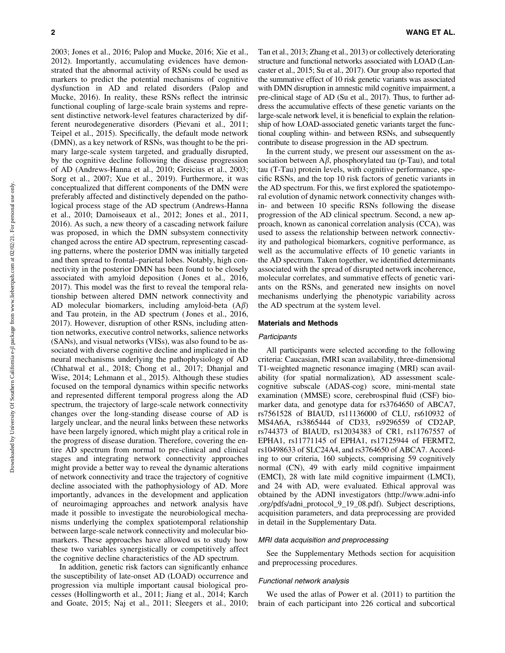2003; Jones et al., 2016; Palop and Mucke, 2016; Xie et al., 2012). Importantly, accumulating evidences have demonstrated that the abnormal activity of RSNs could be used as markers to predict the potential mechanisms of cognitive dysfunction in AD and related disorders (Palop and Mucke, 2016). In reality, these RSNs reflect the intrinsic functional coupling of large-scale brain systems and represent distinctive network-level features characterized by different neurodegenerative disorders (Pievani et al., 2011; Teipel et al., 2015). Specifically, the default mode network (DMN), as a key network of RSNs, was thought to be the primary large-scale system targeted, and gradually disrupted, by the cognitive decline following the disease progression of AD (Andrews-Hanna et al., 2010; Greicius et al., 2003; Sorg et al., 2007; Xue et al., 2019). Furthermore, it was conceptualized that different components of the DMN were preferably affected and distinctively depended on the pathological process stage of the AD spectrum (Andrews-Hanna et al., 2010; Damoiseaux et al., 2012; Jones et al., 2011, 2016). As such, a new theory of a cascading network failure was proposed, in which the DMN subsystem connectivity changed across the entire AD spectrum, representing cascading patterns, where the posterior DMN was initially targeted and then spread to frontal–parietal lobes. Notably, high connectivity in the posterior DMN has been found to be closely associated with amyloid deposition ( Jones et al., 2016, 2017). This model was the first to reveal the temporal relationship between altered DMN network connectivity and AD molecular biomarkers, including amyloid-beta  $(A\beta)$ and Tau protein, in the AD spectrum (Jones et al., 2016, 2017). However, disruption of other RSNs, including attention networks, executive control networks, salience networks (SANs), and visual networks (VISs), was also found to be associated with diverse cognitive decline and implicated in the neural mechanisms underlying the pathophysiology of AD (Chhatwal et al., 2018; Chong et al., 2017; Dhanjal and Wise, 2014; Lehmann et al., 2015). Although these studies focused on the temporal dynamics within specific networks and represented different temporal progress along the AD spectrum, the trajectory of large-scale network connectivity changes over the long-standing disease course of AD is largely unclear, and the neural links between these networks have been largely ignored, which might play a critical role in the progress of disease duration. Therefore, covering the entire AD spectrum from normal to pre-clinical and clinical stages and integrating network connectivity approaches might provide a better way to reveal the dynamic alterations of network connectivity and trace the trajectory of cognitive decline associated with the pathophysiology of AD. More importantly, advances in the development and application of neuroimaging approaches and network analysis have made it possible to investigate the neurobiological mechanisms underlying the complex spatiotemporal relationship between large-scale network connectivity and molecular biomarkers. These approaches have allowed us to study how these two variables synergistically or competitively affect the cognitive decline characteristics of the AD spectrum.

In addition, genetic risk factors can significantly enhance the susceptibility of late-onset AD (LOAD) occurrence and progression via multiple important causal biological processes (Hollingworth et al., 2011; Jiang et al., 2014; Karch and Goate, 2015; Naj et al., 2011; Sleegers et al., 2010; Tan et al., 2013; Zhang et al., 2013) or collectively deteriorating structure and functional networks associated with LOAD (Lancaster et al., 2015; Su et al., 2017). Our group also reported that the summative effect of 10 risk genetic variants was associated with DMN disruption in amnestic mild cognitive impairment, a pre-clinical stage of AD (Su et al., 2017). Thus, to further address the accumulative effects of these genetic variants on the large-scale network level, it is beneficial to explain the relationship of how LOAD-associated genetic variants target the functional coupling within- and between RSNs, and subsequently contribute to disease progression in the AD spectrum.

In the current study, we present our assessment on the association between  $A\beta$ , phosphorylated tau (p-Tau), and total tau (T-Tau) protein levels, with cognitive performance, specific RSNs, and the top 10 risk factors of genetic variants in the AD spectrum. For this, we first explored the spatiotemporal evolution of dynamic network connectivity changes within- and between 10 specific RSNs following the disease progression of the AD clinical spectrum. Second, a new approach, known as canonical correlation analysis (CCA), was used to assess the relationship between network connectivity and pathological biomarkers, cognitive performance, as well as the accumulative effects of 10 genetic variants in the AD spectrum. Taken together, we identified determinants associated with the spread of disrupted network incoherence, molecular correlates, and summative effects of genetic variants on the RSNs, and generated new insights on novel mechanisms underlying the phenotypic variability across the AD spectrum at the system level.

#### Materials and Methods

#### **Participants**

All participants were selected according to the following criteria: Caucasian, fMRI scan availability, three-dimensional T1-weighted magnetic resonance imaging (MRI) scan availability (for spatial normalization), AD assessment scalecognitive subscale (ADAS-cog) score, mini-mental state examination (MMSE) score, cerebrospinal fluid (CSF) biomarker data, and genotype data for rs3764650 of ABCA7, rs7561528 of BIAUD, rs11136000 of CLU, rs610932 of MS4A6A, rs3865444 of CD33, rs9296559 of CD2AP, rs744373 of BIAUD, rs12034383 of CR1, rs11767557 of EPHA1, rs11771145 of EPHA1, rs17125944 of FERMT2, rs10498633 of SLC24A4, and rs3764650 of ABCA7. According to our criteria, 160 subjects, comprising 59 cognitively normal (CN), 49 with early mild cognitive impairment (EMCI), 28 with late mild cognitive impairment (LMCI), and 24 with AD, were evaluated. Ethical approval was obtained by the ADNI investigators ([http://www.adni-info](http://www.adni-info.org/pdfs/adni_protocol_9_19_08.pdf) [.org/pdfs/adni\\_protocol\\_9\\_19\\_08.pdf](http://www.adni-info.org/pdfs/adni_protocol_9_19_08.pdf)). Subject descriptions, acquisition parameters, and data preprocessing are provided in detail in the Supplementary Data.

# MRI data acquisition and preprocessing

See the Supplementary Methods section for acquisition and preprocessing procedures.

## Functional network analysis

We used the atlas of Power et al. (2011) to partition the brain of each participant into 226 cortical and subcortical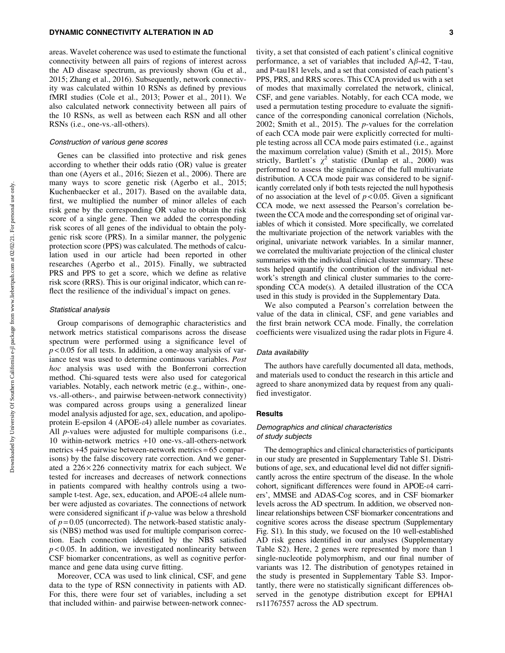areas. Wavelet coherence was used to estimate the functional connectivity between all pairs of regions of interest across the AD disease spectrum, as previously shown (Gu et al., 2015; Zhang et al., 2016). Subsequently, network connectivity was calculated within 10 RSNs as defined by previous fMRI studies (Cole et al., 2013; Power et al., 2011). We also calculated network connectivity between all pairs of the 10 RSNs, as well as between each RSN and all other RSNs (i.e., one-vs.-all-others).

## Construction of various gene scores

Genes can be classified into protective and risk genes according to whether their odds ratio (OR) value is greater than one (Ayers et al., 2016; Siezen et al., 2006). There are many ways to score genetic risk (Agerbo et al., 2015; Kuchenbaecker et al., 2017). Based on the available data, first, we multiplied the number of minor alleles of each risk gene by the corresponding OR value to obtain the risk score of a single gene. Then we added the corresponding risk scores of all genes of the individual to obtain the polygenic risk score (PRS). In a similar manner, the polygenic protection score (PPS) was calculated. The methods of calculation used in our article had been reported in other researches (Agerbo et al., 2015). Finally, we subtracted PRS and PPS to get a score, which we define as relative risk score (RRS). This is our original indicator, which can reflect the resilience of the individual's impact on genes.

## Statistical analysis

Group comparisons of demographic characteristics and network metrics statistical comparisons across the disease spectrum were performed using a significance level of  $p < 0.05$  for all tests. In addition, a one-way analysis of variance test was used to determine continuous variables. *Post hoc* analysis was used with the Bonferroni correction method. Chi-squared tests were also used for categorical variables. Notably, each network metric (e.g., within-, onevs.-all-others-, and pairwise between-network connectivity) was compared across groups using a generalized linear model analysis adjusted for age, sex, education, and apolipoprotein E-epsilon 4 (APOE-e4) allele number as covariates. All *p*-values were adjusted for multiple comparisons (i.e., 10 within-network metrics +10 one-vs.-all-others-network metrics +45 pairwise between-network metrics = 65 comparisons) by the false discovery rate correction. And we generated a  $226 \times 226$  connectivity matrix for each subject. We tested for increases and decreases of network connections in patients compared with healthy controls using a twosample t-test. Age, sex, education, and APOE-ε4 allele number were adjusted as covariates. The connections of network were considered significant if *p*-value was below a threshold of *p* = 0.05 (uncorrected). The network-based statistic analysis (NBS) method was used for multiple comparison correction. Each connection identified by the NBS satisfied  $p$  < 0.05. In addition, we investigated nonlinearity between CSF biomarker concentrations, as well as cognitive performance and gene data using curve fitting.

Moreover, CCA was used to link clinical, CSF, and gene data to the type of RSN connectivity in patients with AD. For this, there were four set of variables, including a set that included within- and pairwise between-network connectivity, a set that consisted of each patient's clinical cognitive performance, a set of variables that included  $A\beta$ -42, T-tau, and P-tau181 levels, and a set that consisted of each patient's PPS, PRS, and RRS scores. This CCA provided us with a set of modes that maximally correlated the network, clinical, CSF, and gene variables. Notably, for each CCA mode, we used a permutation testing procedure to evaluate the significance of the corresponding canonical correlation (Nichols, 2002; Smith et al., 2015). The *p*-values for the correlation of each CCA mode pair were explicitly corrected for multiple testing across all CCA mode pairs estimated (i.e., against the maximum correlation value) (Smith et al., 2015). More strictly, Bartlett's  $\chi^2$  statistic (Dunlap et al., 2000) was performed to assess the significance of the full multivariate distribution. A CCA mode pair was considered to be significantly correlated only if both tests rejected the null hypothesis of no association at the level of  $p < 0.05$ . Given a significant CCA mode, we next assessed the Pearson's correlation between the CCA mode and the corresponding set of original variables of which it consisted. More specifically, we correlated the multivariate projection of the network variables with the original, univariate network variables. In a similar manner, we correlated the multivariate projection of the clinical cluster summaries with the individual clinical cluster summary. These tests helped quantify the contribution of the individual network's strength and clinical cluster summaries to the corresponding CCA mode(s). A detailed illustration of the CCA used in this study is provided in the Supplementary Data.

We also computed a Pearson's correlation between the value of the data in clinical, CSF, and gene variables and the first brain network CCA mode. Finally, the correlation coefficients were visualized using the radar plots in Figure 4.

# Data availability

The authors have carefully documented all data, methods, and materials used to conduct the research in this article and agreed to share anonymized data by request from any qualified investigator.

#### Results

# Demographics and clinical characteristics of study subjects

The demographics and clinical characteristics of participants in our study are presented in Supplementary Table S1. Distributions of age, sex, and educational level did not differ significantly across the entire spectrum of the disease. In the whole cohort, significant differences were found in APOE-e4 carriers', MMSE and ADAS-Cog scores, and in CSF biomarker levels across the AD spectrum. In addition, we observed nonlinear relationships between CSF biomarker concentrations and cognitive scores across the disease spectrum (Supplementary Fig. S1). In this study, we focused on the 10 well-established AD risk genes identified in our analyses (Supplementary Table S2). Here, 2 genes were represented by more than 1 single-nucleotide polymorphism, and our final number of variants was 12. The distribution of genotypes retained in the study is presented in Supplementary Table S3. Importantly, there were no statistically significant differences observed in the genotype distribution except for EPHA1 rs11767557 across the AD spectrum.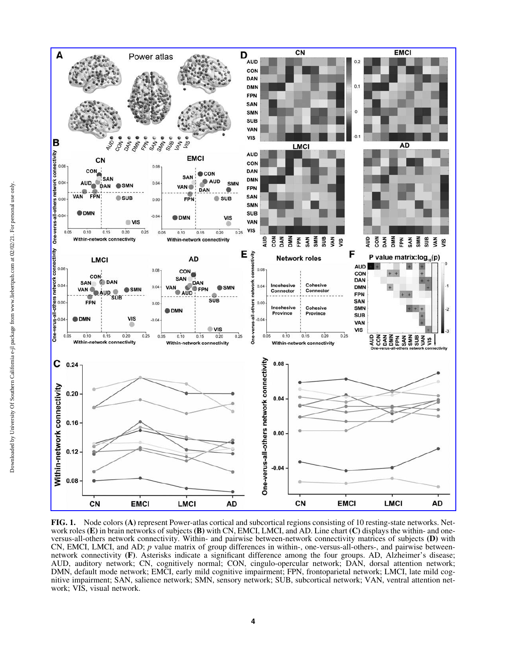

FIG. 1. Node colors (A) represent Power-atlas cortical and subcortical regions consisting of 10 resting-state networks. Network roles (E) in brain networks of subjects (B) with CN, EMCI, LMCI, and AD. Line chart (C) displays the within- and oneversus-all-others network connectivity. Within- and pairwise between-network connectivity matrices of subjects (D) with CN, EMCI, LMCI, and AD; *p* value matrix of group differences in within-, one-versus-all-others-, and pairwise betweennetwork connectivity (F). Asterisks indicate a significant difference among the four groups. AD, Alzheimer's disease; AUD, auditory network; CN, cognitively normal; CON, cingulo-opercular network; DAN, dorsal attention network; DMN, default mode network; EMCI, early mild cognitive impairment; FPN, frontoparietal network; LMCI, late mild cognitive impairment; SAN, salience network; SMN, sensory network; SUB, subcortical network; VAN, ventral attention network; VIS, visual network.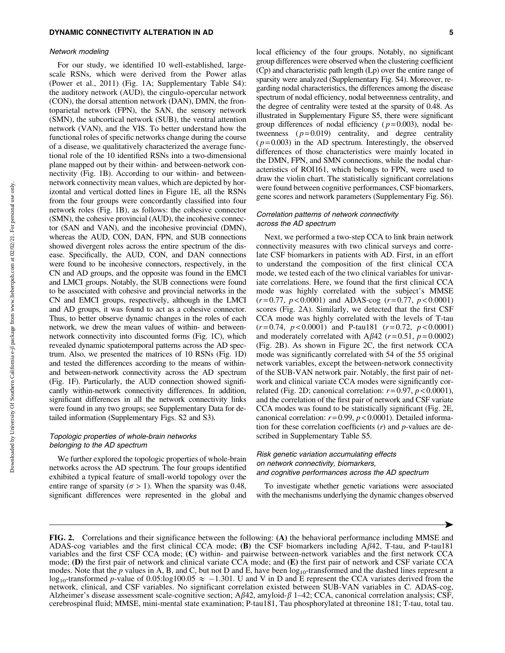### Network modeling

For our study, we identified 10 well-established, largescale RSNs, which were derived from the Power atlas (Power et al., 2011) (Fig. 1A; Supplementary Table S4): the auditory network (AUD), the cingulo-opercular network (CON), the dorsal attention network (DAN), DMN, the frontoparietal network (FPN), the SAN, the sensory network (SMN), the subcortical network (SUB), the ventral attention network (VAN), and the VIS. To better understand how the functional roles of specific networks change during the course of a disease, we qualitatively characterized the average functional role of the 10 identified RSNs into a two-dimensional plane mapped out by their within- and between-network connectivity (Fig. 1B). According to our within- and betweennetwork connectivity mean values, which are depicted by horizontal and vertical dotted lines in Figure 1E, all the RSNs from the four groups were concordantly classified into four network roles (Fig. 1B), as follows: the cohesive connector (SMN), the cohesive provincial (AUD), the incohesive connector (SAN and VAN), and the incohesive provincial (DMN), whereas the AUD, CON, DAN, FPN, and SUB connections showed divergent roles across the entire spectrum of the disease. Specifically, the AUD, CON, and DAN connections were found to be incohesive connectors, respectively, in the CN and AD groups, and the opposite was found in the EMCI and LMCI groups. Notably, the SUB connections were found to be associated with cohesive and provincial networks in the CN and EMCI groups, respectively, although in the LMCI and AD groups, it was found to act as a cohesive connector. Thus, to better observe dynamic changes in the roles of each network, we drew the mean values of within- and betweennetwork connectivity into discounted forms (Fig. 1C), which revealed dynamic spatiotemporal patterns across the AD spectrum. Also, we presented the matrices of 10 RSNs (Fig. 1D) and tested the differences according to the means of withinand between-network connectivity across the AD spectrum (Fig. 1F). Particularly, the AUD connection showed significantly within-network connectivity differences. In addition, significant differences in all the network connectivity links were found in any two groups; see Supplementary Data for detailed information (Supplementary Figs. S2 and S3).

# Topologic properties of whole-brain networks belonging to the AD spectrum

We further explored the topologic properties of whole-brain networks across the AD spectrum. The four groups identified exhibited a typical feature of small-world topology over the entire range of sparsity ( $\sigma > 1$ ). When the sparsity was 0.48, significant differences were represented in the global and local efficiency of the four groups. Notably, no significant group differences were observed when the clustering coefficient (Cp) and characteristic path length (Lp) over the entire range of sparsity were analyzed (Supplementary Fig. S4). Moreover, regarding nodal characteristics, the differences among the disease spectrum of nodal efficiency, nodal betweenness centrality, and the degree of centrality were tested at the sparsity of 0.48. As illustrated in Supplementary Figure S5, there were significant group differences of nodal efficiency  $(p=0.003)$ , nodal betweenness  $(p=0.019)$  centrality, and degree centrality  $(p=0.003)$  in the AD spectrum. Interestingly, the observed differences of those characteristics were mainly located in the DMN, FPN, and SMN connections, while the nodal characteristics of ROI161, which belongs to FPN, were used to draw the violin chart. The statistically significant correlations were found between cognitive performances, CSF biomarkers, gene scores and network parameters (Supplementary Fig. S6).

# Correlation patterns of network connectivity across the AD spectrum

Next, we performed a two-step CCA to link brain network connectivity measures with two clinical surveys and correlate CSF biomarkers in patients with AD. First, in an effort to understand the composition of the first clinical CCA mode, we tested each of the two clinical variables for univariate correlations. Here, we found that the first clinical CCA mode was highly correlated with the subject's MMSE  $(r=0.77, p<0.0001)$  and ADAS-cog  $(r=0.77, p<0.0001)$ scores (Fig. 2A). Similarly, we detected that the first CSF CCA mode was highly correlated with the levels of T-tau  $(r=0.74, p<0.0001)$  and P-tau181  $(r=0.72, p<0.0001)$ and moderately correlated with A $\beta$ 42 ( $r$  = 0.51,  $p$  = 0.0002) (Fig. 2B). As shown in Figure 2C, the first network CCA mode was significantly correlated with 54 of the 55 original network variables, except the between-network connectivity of the SUB-VAN network pair. Notably, the first pair of network and clinical variate CCA modes were significantly correlated (Fig. 2D; canonical correlation:  $r = 0.97$ ,  $p < 0.0001$ ), and the correlation of the first pair of network and CSF variate CCA modes was found to be statistically significant (Fig. 2E, canonical correlation: *r* = 0.99, *p* < 0.0001). Detailed information for these correlation coefficients (*r*) and *p*-values are described in Supplementary Table S5.

# Risk genetic variation accumulating effects on network connectivity, biomarkers, and cognitive performances across the AD spectrum

To investigate whether genetic variations were associated with the mechanisms underlying the dynamic changes observed



FIG. 2. Correlations and their significance between the following: (A) the behavioral performance including MMSE and ADAS-cog variables and the first clinical CCA mode; (B) the CSF biomarkers including  $A\beta 42$ , T-tau, and P-tau181 variables and the first CSF CCA mode; (C) within- and pairwise between-network variables and the first network CCA mode; (D) the first pair of network and clinical variate CCA mode; and (E) the first pair of network and CSF variate CCA modes. Note that the *p* values in A, B, and C, but not D and E, have been log<sub>10</sub>-transformed and the dashed lines represent a  $log_{10}$ -transformed *p*-value of 0.05:log100.05  $\approx -1.301$ . U and V in D and E represent the CCA variates derived from the network, clinical, and CSF variables. No significant correlation existed between SUB-VAN variables in C. ADAS-cog, Alzheimer's disease assessment scale-cognitive section;  $A\beta$ 42, amyloid- $\beta$  1–42; CCA, canonical correlation analysis; CSF, cerebrospinal fluid; MMSE, mini-mental state examination; P-tau181, Tau phosphorylated at threonine 181; T-tau, total tau.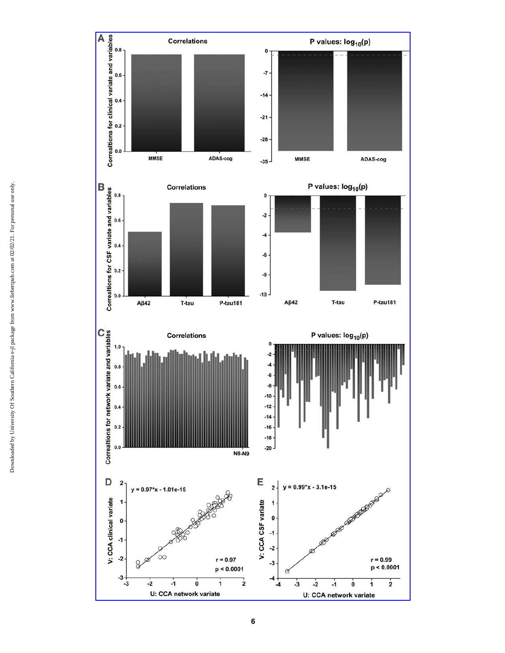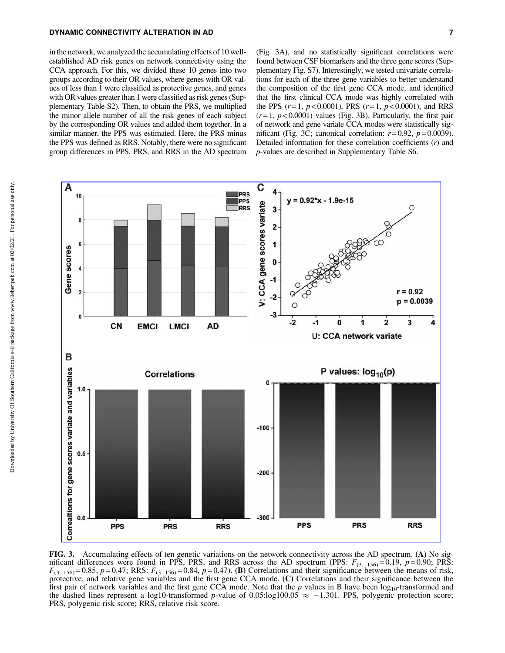## DYNAMIC CONNECTIVITY ALTERATION IN AD 7

in the network, we analyzed the accumulating effects of 10 wellestablished AD risk genes on network connectivity using the CCA approach. For this, we divided these 10 genes into two groups according to their OR values, where genes with OR values of less than 1 were classified as protective genes, and genes with OR values greater than 1 were classified as risk genes (Supplementary Table S2). Then, to obtain the PRS, we multiplied the minor allele number of all the risk genes of each subject by the corresponding OR values and added them together. In a similar manner, the PPS was estimated. Here, the PRS minus the PPS was defined as RRS. Notably, there were no significant group differences in PPS, PRS, and RRS in the AD spectrum (Fig. 3A), and no statistically significant correlations were found between CSF biomarkers and the three gene scores (Supplementary Fig. S7). Interestingly, we tested univariate correlations for each of the three gene variables to better understand the composition of the first gene CCA mode, and identified that the first clinical CCA mode was highly correlated with the PPS  $(r=1, p<0.0001)$ , PRS  $(r=1, p<0.0001)$ , and RRS  $(r=1, p<0.0001)$  values (Fig. 3B). Particularly, the first pair of network and gene variate CCA modes were statistically significant (Fig. 3C; canonical correlation:  $r=0.92$ ,  $p=0.0039$ ). Detailed information for these correlation coefficients (*r*) and *p*-values are described in Supplementary Table S6.



FIG. 3. Accumulating effects of ten genetic variations on the network connectivity across the AD spectrum. (A) No significant differences were found in PPS, PRS, and RRS across the AD spectrum (PPS:  $F_{(3, 156)} = 0.19$ ,  $p = 0.90$ ; PRS:  $F_{(3, 156)} = 0.85$ ,  $p = 0.47$ ; RRS:  $F_{(3, 156)} = 0.84$ ,  $p = 0.47$ ). (B) Correlations and their significance between the means of risk, protective, and relative gene variables and the first gene CCA mode. (C) Correlations and their significance between the first pair of network variables and the first gene CCA mode. Note that the  $p$  values in B have been  $log_{10}$ -transformed and the dashed lines represent a log10-transformed *p*-value of 0.05:log100.05  $\approx$  -1.301. PPS, polygenic protection score; PRS, polygenic risk score; RRS, relative risk score.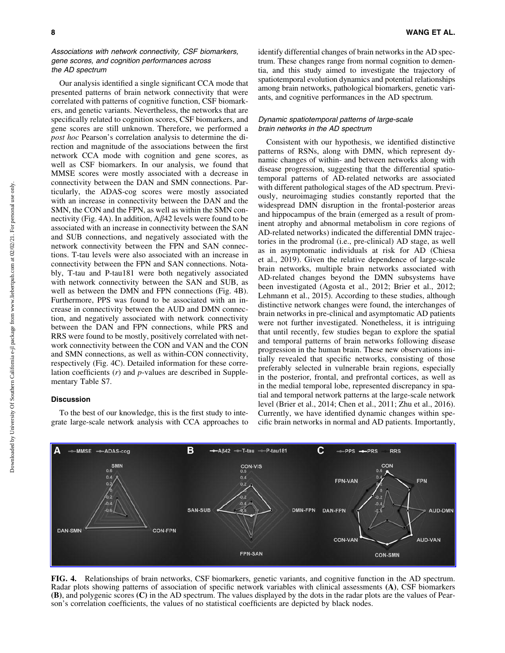# Associations with network connectivity, CSF biomarkers, gene scores, and cognition performances across the AD spectrum

Our analysis identified a single significant CCA mode that presented patterns of brain network connectivity that were correlated with patterns of cognitive function, CSF biomarkers, and genetic variants. Nevertheless, the networks that are specifically related to cognition scores, CSF biomarkers, and gene scores are still unknown. Therefore, we performed a *post hoc* Pearson's correlation analysis to determine the direction and magnitude of the associations between the first network CCA mode with cognition and gene scores, as well as CSF biomarkers. In our analysis, we found that MMSE scores were mostly associated with a decrease in connectivity between the DAN and SMN connections. Particularly, the ADAS-cog scores were mostly associated with an increase in connectivity between the DAN and the SMN, the CON and the FPN, as well as within the SMN connectivity (Fig. 4A). In addition,  $A\beta$ 42 levels were found to be associated with an increase in connectivity between the SAN and SUB connections, and negatively associated with the network connectivity between the FPN and SAN connections. T-tau levels were also associated with an increase in connectivity between the FPN and SAN connections. Notably, T-tau and P-tau181 were both negatively associated with network connectivity between the SAN and SUB, as well as between the DMN and FPN connections (Fig. 4B). Furthermore, PPS was found to be associated with an increase in connectivity between the AUD and DMN connection, and negatively associated with network connectivity between the DAN and FPN connections, while PRS and RRS were found to be mostly, positively correlated with network connectivity between the CON and VAN and the CON and SMN connections, as well as within-CON connectivity, respectively (Fig. 4C). Detailed information for these correlation coefficients (*r*) and *p*-values are described in Supplementary Table S7.

# **Discussion**

To the best of our knowledge, this is the first study to integrate large-scale network analysis with CCA approaches to identify differential changes of brain networks in the AD spectrum. These changes range from normal cognition to dementia, and this study aimed to investigate the trajectory of spatiotemporal evolution dynamics and potential relationships among brain networks, pathological biomarkers, genetic variants, and cognitive performances in the AD spectrum.

# Dynamic spatiotemporal patterns of large-scale brain networks in the AD spectrum

Consistent with our hypothesis, we identified distinctive patterns of RSNs, along with DMN, which represent dynamic changes of within- and between networks along with disease progression, suggesting that the differential spatiotemporal patterns of AD-related networks are associated with different pathological stages of the AD spectrum. Previously, neuroimaging studies constantly reported that the widespread DMN disruption in the frontal-posterior areas and hippocampus of the brain (emerged as a result of prominent atrophy and abnormal metabolism in core regions of AD-related networks) indicated the differential DMN trajectories in the prodromal (i.e., pre-clinical) AD stage, as well as in asymptomatic individuals at risk for AD (Chiesa et al., 2019). Given the relative dependence of large-scale brain networks, multiple brain networks associated with AD-related changes beyond the DMN subsystems have been investigated (Agosta et al., 2012; Brier et al., 2012; Lehmann et al., 2015). According to these studies, although distinctive network changes were found, the interchanges of brain networks in pre-clinical and asymptomatic AD patients were not further investigated. Nonetheless, it is intriguing that until recently, few studies began to explore the spatial and temporal patterns of brain networks following disease progression in the human brain. These new observations initially revealed that specific networks, consisting of those preferably selected in vulnerable brain regions, especially in the posterior, frontal, and prefrontal cortices, as well as in the medial temporal lobe, represented discrepancy in spatial and temporal network patterns at the large-scale network level (Brier et al., 2014; Chen et al., 2011; Zhu et al., 2016). Currently, we have identified dynamic changes within specific brain networks in normal and AD patients. Importantly,



FIG. 4. Relationships of brain networks, CSF biomarkers, genetic variants, and cognitive function in the AD spectrum. Radar plots showing patterns of association of specific network variables with clinical assessments (A), CSF biomarkers (B), and polygenic scores (C) in the AD spectrum. The values displayed by the dots in the radar plots are the values of Pearson's correlation coefficients, the values of no statistical coefficients are depicted by black nodes.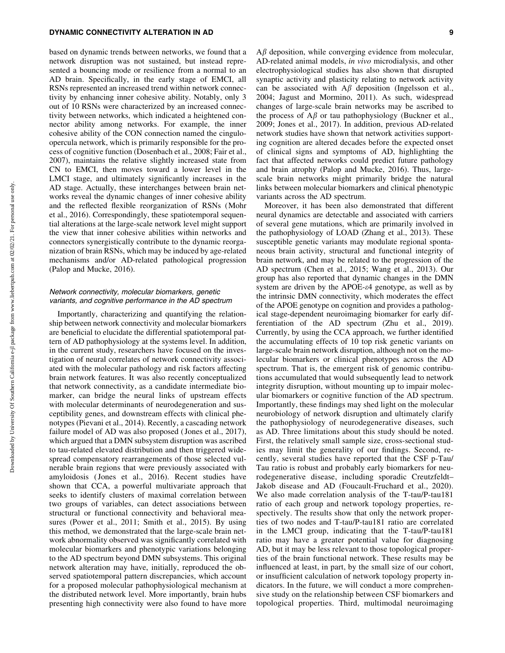## DYNAMIC CONNECTIVITY ALTERATION IN AD 9

based on dynamic trends between networks, we found that a network disruption was not sustained, but instead represented a bouncing mode or resilience from a normal to an AD brain. Specifically, in the early stage of EMCI, all RSNs represented an increased trend within network connectivity by enhancing inner cohesive ability. Notably, only 3 out of 10 RSNs were characterized by an increased connectivity between networks, which indicated a heightened connector ability among networks. For example, the inner cohesive ability of the CON connection named the cinguloopercula network, which is primarily responsible for the process of cognitive function (Dosenbach et al., 2008; Fair et al., 2007), maintains the relative slightly increased state from CN to EMCI, then moves toward a lower level in the LMCI stage, and ultimately significantly increases in the AD stage. Actually, these interchanges between brain networks reveal the dynamic changes of inner cohesive ability and the reflected flexible reorganization of RSNs (Mohr et al., 2016). Correspondingly, these spatiotemporal sequential alterations at the large-scale network level might support the view that inner cohesive abilities within networks and connectors synergistically contribute to the dynamic reorganization of brain RSNs, which may be induced by age-related mechanisms and/or AD-related pathological progression (Palop and Mucke, 2016).

# Network connectivity, molecular biomarkers, genetic variants, and cognitive performance in the AD spectrum

Importantly, characterizing and quantifying the relationship between network connectivity and molecular biomarkers are beneficial to elucidate the differential spatiotemporal pattern of AD pathophysiology at the systems level. In addition, in the current study, researchers have focused on the investigation of neural correlates of network connectivity associated with the molecular pathology and risk factors affecting brain network features. It was also recently conceptualized that network connectivity, as a candidate intermediate biomarker, can bridge the neural links of upstream effects with molecular determinants of neurodegeneration and susceptibility genes, and downstream effects with clinical phenotypes (Pievani et al., 2014). Recently, a cascading network failure model of AD was also proposed (Jones et al., 2017), which argued that a DMN subsystem disruption was ascribed to tau-related elevated distribution and then triggered widespread compensatory rearrangements of those selected vulnerable brain regions that were previously associated with amyloidosis ( Jones et al., 2016). Recent studies have shown that CCA, a powerful multivariate approach that seeks to identify clusters of maximal correlation between two groups of variables, can detect associations between structural or functional connectivity and behavioral measures (Power et al., 2011; Smith et al., 2015). By using this method, we demonstrated that the large-scale brain network abnormality observed was significantly correlated with molecular biomarkers and phenotypic variations belonging to the AD spectrum beyond DMN subsystems. This original network alteration may have, initially, reproduced the observed spatiotemporal pattern discrepancies, which account for a proposed molecular pathophysiological mechanism at the distributed network level. More importantly, brain hubs presenting high connectivity were also found to have more  $A\beta$  deposition, while converging evidence from molecular, AD-related animal models, *in vivo* microdialysis, and other electrophysiological studies has also shown that disrupted synaptic activity and plasticity relating to network activity can be associated with  $A\beta$  deposition (Ingelsson et al., 2004; Jagust and Mormino, 2011). As such, widespread changes of large-scale brain networks may be ascribed to the process of  $A\beta$  or tau pathophysiology (Buckner et al., 2009; Jones et al., 2017). In addition, previous AD-related network studies have shown that network activities supporting cognition are altered decades before the expected onset of clinical signs and symptoms of AD, highlighting the fact that affected networks could predict future pathology and brain atrophy (Palop and Mucke, 2016). Thus, largescale brain networks might primarily bridge the natural links between molecular biomarkers and clinical phenotypic variants across the AD spectrum.

Moreover, it has been also demonstrated that different neural dynamics are detectable and associated with carriers of several gene mutations, which are primarily involved in the pathophysiology of LOAD (Zhang et al., 2013). These susceptible genetic variants may modulate regional spontaneous brain activity, structural and functional integrity of brain network, and may be related to the progression of the AD spectrum (Chen et al., 2015; Wang et al., 2013). Our group has also reported that dynamic changes in the DMN system are driven by the APOE- $\varepsilon$ 4 genotype, as well as by the intrinsic DMN connectivity, which moderates the effect of the APOE genotype on cognition and provides a pathological stage-dependent neuroimaging biomarker for early differentiation of the AD spectrum (Zhu et al., 2019). Currently, by using the CCA approach, we further identified the accumulating effects of 10 top risk genetic variants on large-scale brain network disruption, although not on the molecular biomarkers or clinical phenotypes across the AD spectrum. That is, the emergent risk of genomic contributions accumulated that would subsequently lead to network integrity disruption, without mounting up to impair molecular biomarkers or cognitive function of the AD spectrum. Importantly, these findings may shed light on the molecular neurobiology of network disruption and ultimately clarify the pathophysiology of neurodegenerative diseases, such as AD. Three limitations about this study should be noted. First, the relatively small sample size, cross-sectional studies may limit the generality of our findings. Second, recently, several studies have reported that the CSF p-Tau/ Tau ratio is robust and probably early biomarkers for neurodegenerative disease, including sporadic Creutzfeldt– Jakob disease and AD (Foucault-Fruchard et al., 2020). We also made correlation analysis of the T-tau/P-tau181 ratio of each group and network topology properties, respectively. The results show that only the network properties of two nodes and T-tau/P-tau181 ratio are correlated in the LMCI group, indicating that the T-tau/P-tau181 ratio may have a greater potential value for diagnosing AD, but it may be less relevant to those topological properties of the brain functional network. These results may be influenced at least, in part, by the small size of our cohort, or insufficient calculation of network topology property indicators. In the future, we will conduct a more comprehensive study on the relationship between CSF biomarkers and topological properties. Third, multimodal neuroimaging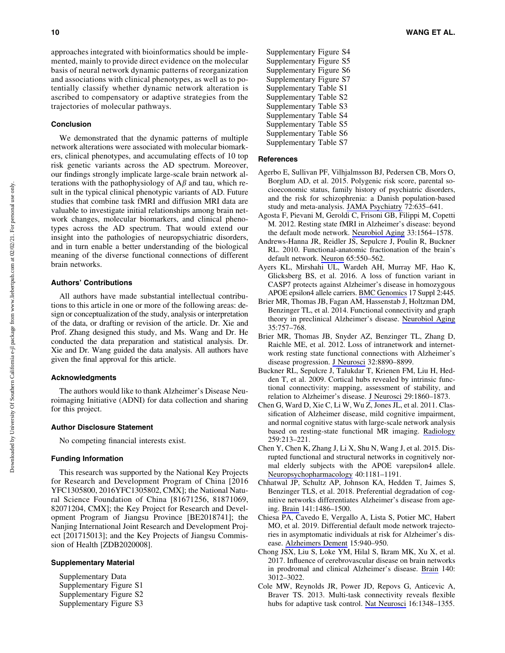approaches integrated with bioinformatics should be implemented, mainly to provide direct evidence on the molecular basis of neural network dynamic patterns of reorganization and associations with clinical phenotypes, as well as to potentially classify whether dynamic network alteration is ascribed to compensatory or adaptive strategies from the trajectories of molecular pathways.

#### Conclusion

We demonstrated that the dynamic patterns of multiple network alterations were associated with molecular biomarkers, clinical phenotypes, and accumulating effects of 10 top risk genetic variants across the AD spectrum. Moreover, our findings strongly implicate large-scale brain network alterations with the pathophysiology of  $A\beta$  and tau, which result in the typical clinical phenotypic variants of AD. Future studies that combine task fMRI and diffusion MRI data are valuable to investigate initial relationships among brain network changes, molecular biomarkers, and clinical phenotypes across the AD spectrum. That would extend our insight into the pathologies of neuropsychiatric disorders, and in turn enable a better understanding of the biological meaning of the diverse functional connections of different brain networks.

#### Authors' Contributions

All authors have made substantial intellectual contributions to this article in one or more of the following areas: design or conceptualization of the study, analysis or interpretation of the data, or drafting or revision of the article. Dr. Xie and Prof. Zhang designed this study, and Ms. Wang and Dr. He conducted the data preparation and statistical analysis. Dr. Xie and Dr. Wang guided the data analysis. All authors have given the final approval for this article.

#### Acknowledgments

The authors would like to thank Alzheimer's Disease Neuroimaging Initiative (ADNI) for data collection and sharing for this project.

# Author Disclosure Statement

No competing financial interests exist.

## Funding Information

This research was supported by the National Key Projects for Research and Development Program of China [2016 YFC1305800, 2016YFC1305802, CMX]; the National Natural Science Foundation of China [81671256, 81871069, 82071204, CMX]; the Key Project for Research and Development Program of Jiangsu Province [BE2018741]; the Nanjing International Joint Research and Development Project [201715013]; and the Key Projects of Jiangsu Commission of Health [ZDB2020008].

## Supplementary Material

Supplementary Data Supplementary Figure S1 Supplementary Figure S2 Supplementary Figure S3 Supplementary Figure S4 Supplementary Figure S5 Supplementary Figure S6 Supplementary Figure S7 Supplementary Table S1 Supplementary Table S2 Supplementary Table S3 Supplementary Table S4 Supplementary Table S5 Supplementary Table S6 Supplementary Table S7

## **References**

- Agerbo E, Sullivan PF, Vilhjalmsson BJ, Pedersen CB, Mors O, Borglum AD, et al. 2015. Polygenic risk score, parental socioeconomic status, family history of psychiatric disorders, and the risk for schizophrenia: a Danish population-based study and meta-analysis. [JAMA Psychiatry](https://www.liebertpub.com/action/showLinks?pmid=25830477&crossref=10.1001%2Fjamapsychiatry.2015.0346&citationId=p_93) 72:635–641.
- Agosta F, Pievani M, Geroldi C, Frisoni GB, Filippi M, Copetti M. 2012. Resting state fMRI in Alzheimer's disease: beyond the default mode network. [Neurobiol Aging](https://www.liebertpub.com/action/showLinks?pmid=21813210&crossref=10.1016%2Fj.neurobiolaging.2011.06.007&citationId=p_94) 33:1564–1578.
- Andrews-Hanna JR, Reidler JS, Sepulcre J, Poulin R, Buckner RL. 2010. Functional-anatomic fractionation of the brain's default network. [Neuron](https://www.liebertpub.com/action/showLinks?pmid=20188659&crossref=10.1016%2Fj.neuron.2010.02.005&citationId=p_95) 65:550–562.
- Ayers KL, Mirshahi UL, Wardeh AH, Murray MF, Hao K, Glicksberg BS, et al. 2016. A loss of function variant in CASP7 protects against Alzheimer's disease in homozygous APOE epsilon4 allele carriers. [BMC Genomics](https://www.liebertpub.com/action/showLinks?crossref=10.1186%2Fs12864-016-2725-z&citationId=p_96) 17 Suppl 2:445.
- Brier MR, Thomas JB, Fagan AM, Hassenstab J, Holtzman DM, Benzinger TL, et al. 2014. Functional connectivity and graph theory in preclinical Alzheimer's disease. [Neurobiol Aging](https://www.liebertpub.com/action/showLinks?pmid=24216223&crossref=10.1016%2Fj.neurobiolaging.2013.10.081&citationId=p_97) 35:757–768.
- Brier MR, Thomas JB, Snyder AZ, Benzinger TL, Zhang D, Raichle ME, et al. 2012. Loss of intranetwork and internetwork resting state functional connections with Alzheimer's disease progression. [J Neurosci](https://www.liebertpub.com/action/showLinks?pmid=22745490&crossref=10.1523%2FJNEUROSCI.5698-11.2012&citationId=p_98) 32:8890–8899.
- Buckner RL, Sepulcre J, Talukdar T, Krienen FM, Liu H, Hedden T, et al. 2009. Cortical hubs revealed by intrinsic functional connectivity: mapping, assessment of stability, and relation to Alzheimer's disease. [J Neurosci](https://www.liebertpub.com/action/showLinks?pmid=19211893&crossref=10.1523%2FJNEUROSCI.5062-08.2009&citationId=p_99) 29:1860–1873.
- Chen G, Ward D, Xie C, Li W, Wu Z, Jones JL, et al. 2011. Classification of Alzheimer disease, mild cognitive impairment, and normal cognitive status with large-scale network analysis based on resting-state functional MR imaging. [Radiology](https://www.liebertpub.com/action/showLinks?pmid=21248238&crossref=10.1148%2Fradiol.10100734&citationId=p_100) 259:213–221.
- Chen Y, Chen K, Zhang J, Li X, Shu N, Wang J, et al. 2015. Disrupted functional and structural networks in cognitively normal elderly subjects with the APOE varepsilon4 allele. [Neuropsychopharmacology](https://www.liebertpub.com/action/showLinks?pmid=25403724&crossref=10.1038%2Fnpp.2014.302&citationId=p_101) 40:1181–1191.
- Chhatwal JP, Schultz AP, Johnson KA, Hedden T, Jaimes S, Benzinger TLS, et al. 2018. Preferential degradation of cognitive networks differentiates Alzheimer's disease from ageing. [Brain](https://www.liebertpub.com/action/showLinks?pmid=29522171&crossref=10.1093%2Fbrain%2Fawy053&citationId=p_102) 141:1486–1500.
- Chiesa PA, Cavedo E, Vergallo A, Lista S, Potier MC, Habert MO, et al. 2019. Differential default mode network trajectories in asymptomatic individuals at risk for Alzheimer's disease. [Alzheimers Dement](https://www.liebertpub.com/action/showLinks?pmid=31113760&crossref=10.1016%2Fj.jalz.2019.03.006&citationId=p_103) 15:940–950.
- Chong JSX, Liu S, Loke YM, Hilal S, Ikram MK, Xu X, et al. 2017. Influence of cerebrovascular disease on brain networks in prodromal and clinical Alzheimer's disease. [Brain](https://www.liebertpub.com/action/showLinks?pmid=29053778&crossref=10.1093%2Fbrain%2Fawx224&citationId=p_104) 140: 3012–3022.
- Cole MW, Reynolds JR, Power JD, Repovs G, Anticevic A, Braver TS. 2013. Multi-task connectivity reveals flexible hubs for adaptive task control. [Nat Neurosci](https://www.liebertpub.com/action/showLinks?pmid=23892552&crossref=10.1038%2Fnn.3470&citationId=p_105) 16:1348–1355.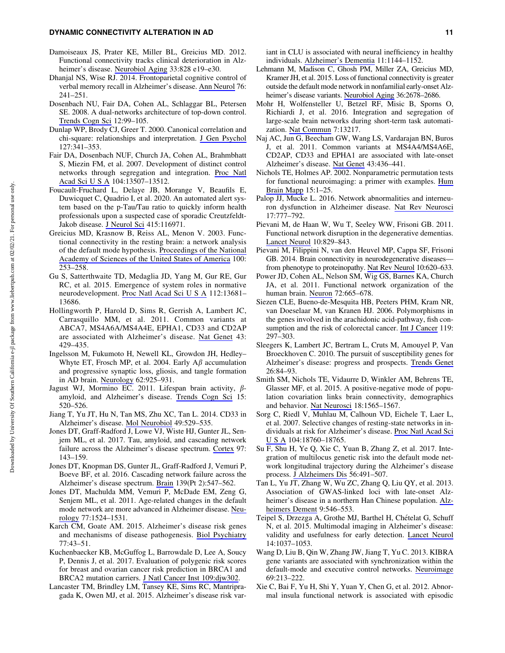## DYNAMIC CONNECTIVITY ALTERATION IN AD 11

- Damoiseaux JS, Prater KE, Miller BL, Greicius MD. 2012. Functional connectivity tracks clinical deterioration in Alzheimer's disease. [Neurobiol Aging](https://www.liebertpub.com/action/showLinks?crossref=10.1016%2Fj.neurobiolaging.2011.06.024&citationId=p_106) 33:828 e19–e30.
- Dhanjal NS, Wise RJ. 2014. Frontoparietal cognitive control of verbal memory recall in Alzheimer's disease. [Ann Neurol](https://www.liebertpub.com/action/showLinks?pmid=24933580&crossref=10.1002%2Fana.24199&citationId=p_107) 76: 241–251.
- Dosenbach NU, Fair DA, Cohen AL, Schlaggar BL, Petersen SE. 2008. A dual-networks architecture of top-down control. [Trends Cogn Sci](https://www.liebertpub.com/action/showLinks?pmid=18262825&crossref=10.1016%2Fj.tics.2008.01.001&citationId=p_108) 12:99–105.
- Dunlap WP, Brody CJ, Greer T. 2000. Canonical correlation and chi-square: relationships and interpretation. [J Gen Psychol](https://www.liebertpub.com/action/showLinks?pmid=11109997&crossref=10.1080%2F00221300009598588&citationId=p_109) 127:341–353.
- Fair DA, Dosenbach NUF, Church JA, Cohen AL, Brahmbhatt S, Miezin FM, et al. 2007. Development of distinct control networks through segregation and integration. [Proc Natl](https://www.liebertpub.com/action/showLinks?pmid=17679691&crossref=10.1073%2Fpnas.0705843104&citationId=p_110) [Acad Sci U S A](https://www.liebertpub.com/action/showLinks?pmid=17679691&crossref=10.1073%2Fpnas.0705843104&citationId=p_110) 104:13507–13512.
- Foucault-Fruchard L, Delaye JB, Morange V, Beaufils E, Duwicquet C, Quadrio I, et al. 2020. An automated alert system based on the p-Tau/Tau ratio to quickly inform health professionals upon a suspected case of sporadic Creutzfeldt-Jakob disease. [J Neurol Sci](https://www.liebertpub.com/action/showLinks?pmid=32521342&crossref=10.1016%2Fj.jns.2020.116971&citationId=p_111) 415:116971.
- Greicius MD, Krasnow B, Reiss AL, Menon V. 2003. Functional connectivity in the resting brain: a network analysis of the default mode hypothesis. [Proceedings of the National](https://www.liebertpub.com/action/showLinks?pmid=12506194&crossref=10.1073%2Fpnas.0135058100&citationId=p_112) [Academy of Sciences of the United States of America](https://www.liebertpub.com/action/showLinks?pmid=12506194&crossref=10.1073%2Fpnas.0135058100&citationId=p_112) 100: 253–258.
- Gu S, Satterthwaite TD, Medaglia JD, Yang M, Gur RE, Gur RC, et al. 2015. Emergence of system roles in normative neurodevelopment. [Proc Natl Acad Sci U S A](https://www.liebertpub.com/action/showLinks?pmid=26483477&crossref=10.1073%2Fpnas.1502829112&citationId=p_113) 112:13681– 13686.
- Hollingworth P, Harold D, Sims R, Gerrish A, Lambert JC, Carrasquillo MM, et al. 2011. Common variants at ABCA7, MS4A6A/MS4A4E, EPHA1, CD33 and CD2AP are associated with Alzheimer's disease. [Nat Genet](https://www.liebertpub.com/action/showLinks?pmid=21460840&crossref=10.1038%2Fng.803&citationId=p_114) 43: 429–435.
- Ingelsson M, Fukumoto H, Newell KL, Growdon JH, Hedley– Whyte ET, Frosch MP, et al. 2004. Early  $A\beta$  accumulation and progressive synaptic loss, gliosis, and tangle formation in AD brain. [Neurology](https://www.liebertpub.com/action/showLinks?pmid=15037694&crossref=10.1212%2F01.WNL.0000115115.98960.37&citationId=p_115) 62:925–931.
- Jagust WJ, Mormino EC. 2011. Lifespan brain activity,  $\beta$ amyloid, and Alzheimer's disease. [Trends Cogn Sci](https://www.liebertpub.com/action/showLinks?pmid=21983147&crossref=10.1016%2Fj.tics.2011.09.004&citationId=p_116) 15: 520–526.
- Jiang T, Yu JT, Hu N, Tan MS, Zhu XC, Tan L. 2014. CD33 in Alzheimer's disease. [Mol Neurobiol](https://www.liebertpub.com/action/showLinks?pmid=23982747&crossref=10.1007%2Fs12035-013-8536-1&citationId=p_117) 49:529–535.
- Jones DT, Graff-Radford J, Lowe VJ, Wiste HJ, Gunter JL, Senjem ML, et al. 2017. Tau, amyloid, and cascading network failure across the Alzheimer's disease spectrum. [Cortex](https://www.liebertpub.com/action/showLinks?pmid=29102243&crossref=10.1016%2Fj.cortex.2017.09.018&citationId=p_118) 97: 143–159.
- Jones DT, Knopman DS, Gunter JL, Graff-Radford J, Vemuri P, Boeve BF, et al. 2016. Cascading network failure across the Alzheimer's disease spectrum. [Brain](https://www.liebertpub.com/action/showLinks?pmid=26586695&crossref=10.1093%2Fbrain%2Fawv338&citationId=p_119) 139(Pt 2):547–562.
- Jones DT, Machulda MM, Vemuri P, McDade EM, Zeng G, Senjem ML, et al. 2011. Age-related changes in the default mode network are more advanced in Alzheimer disease. [Neu](https://www.liebertpub.com/action/showLinks?pmid=21975202&crossref=10.1212%2FWNL.0b013e318233b33d&citationId=p_120)[rology](https://www.liebertpub.com/action/showLinks?pmid=21975202&crossref=10.1212%2FWNL.0b013e318233b33d&citationId=p_120) 77:1524–1531.
- Karch CM, Goate AM. 2015. Alzheimer's disease risk genes and mechanisms of disease pathogenesis. [Biol Psychiatry](https://www.liebertpub.com/action/showLinks?pmid=24951455&crossref=10.1016%2Fj.biopsych.2014.05.006&citationId=p_121) 77:43–51.
- Kuchenbaecker KB, McGuffog L, Barrowdale D, Lee A, Soucy P, Dennis J, et al. 2017. Evaluation of polygenic risk scores for breast and ovarian cancer risk prediction in BRCA1 and BRCA2 mutation carriers. [J Natl Cancer Inst 109:djw302](https://www.liebertpub.com/action/showLinks?crossref=10.1093%2Fjnci%2Fdjw302&citationId=p_122).
- Lancaster TM, Brindley LM, Tansey KE, Sims RC, Mantripragada K, Owen MJ, et al. 2015. Alzheimer's disease risk var-

iant in CLU is associated with neural inefficiency in healthy individuals. [Alzheimer's Dementia](https://www.liebertpub.com/action/showLinks?pmid=25496871&crossref=10.1016%2Fj.jalz.2014.10.012&citationId=p_123) 11:1144–1152.

- Lehmann M, Madison C, Ghosh PM, Miller ZA, Greicius MD, Kramer JH, et al. 2015. Loss of functional connectivity is greater outside the default mode network in nonfamilial early-onset Alzheimer's disease variants. [Neurobiol Aging](https://www.liebertpub.com/action/showLinks?pmid=26242705&crossref=10.1016%2Fj.neurobiolaging.2015.06.029&citationId=p_124) 36:2678–2686.
- Mohr H, Wolfensteller U, Betzel RF, Misic B, Sporns O, Richiardi J, et al. 2016. Integration and segregation of large-scale brain networks during short-term task automatization. [Nat Commun](https://www.liebertpub.com/action/showLinks?pmid=27808095&crossref=10.1038%2Fncomms13217&citationId=p_125) 7:13217.
- Naj AC, Jun G, Beecham GW, Wang LS, Vardarajan BN, Buros J, et al. 2011. Common variants at MS4A4/MS4A6E, CD2AP, CD33 and EPHA1 are associated with late-onset Alzheimer's disease. [Nat Genet](https://www.liebertpub.com/action/showLinks?pmid=21460841&crossref=10.1038%2Fng.801&citationId=p_126) 43:436–441.
- Nichols TE, Holmes AP. 2002. Nonparametric permutation tests for functional neuroimaging: a primer with examples. [Hum](https://www.liebertpub.com/action/showLinks?pmid=11747097&crossref=10.1002%2Fhbm.1058&citationId=p_127) [Brain Mapp](https://www.liebertpub.com/action/showLinks?pmid=11747097&crossref=10.1002%2Fhbm.1058&citationId=p_127) 15:1–25.
- Palop JJ, Mucke L. 2016. Network abnormalities and interneuron dysfunction in Alzheimer disease. [Nat Rev Neurosci](https://www.liebertpub.com/action/showLinks?pmid=27829687&crossref=10.1038%2Fnrn.2016.141&citationId=p_128) 17:777–792.
- Pievani M, de Haan W, Wu T, Seeley WW, Frisoni GB. 2011. Functional network disruption in the degenerative dementias. [Lancet Neurol](https://www.liebertpub.com/action/showLinks?pmid=21778116&crossref=10.1016%2FS1474-4422%2811%2970158-2&citationId=p_129) 10:829–843.
- Pievani M, Filippini N, van den Heuvel MP, Cappa SF, Frisoni GB. 2014. Brain connectivity in neurodegenerative diseasesfrom phenotype to proteinopathy. [Nat Rev Neurol](https://www.liebertpub.com/action/showLinks?pmid=25287597&crossref=10.1038%2Fnrneurol.2014.178&citationId=p_130) 10:620–633.
- Power JD, Cohen AL, Nelson SM, Wig GS, Barnes KA, Church JA, et al. 2011. Functional network organization of the human brain. [Neuron](https://www.liebertpub.com/action/showLinks?pmid=22099467&crossref=10.1016%2Fj.neuron.2011.09.006&citationId=p_131) 72:665–678.
- Siezen CLE, Bueno-de-Mesquita HB, Peeters PHM, Kram NR, van Doeselaar M, van Kranen HJ. 2006. Polymorphisms in the genes involved in the arachidonic acid-pathway, fish con-sumption and the risk of colorectal cancer. [Int J Cancer](https://www.liebertpub.com/action/showLinks?pmid=16482563&crossref=10.1002%2Fijc.21858&citationId=p_132) 119: 297–303.
- Sleegers K, Lambert JC, Bertram L, Cruts M, Amouyel P, Van Broeckhoven C. 2010. The pursuit of susceptibility genes for Alzheimer's disease: progress and prospects. [Trends Genet](https://www.liebertpub.com/action/showLinks?pmid=20080314&crossref=10.1016%2Fj.tig.2009.12.004&citationId=p_133) 26:84–93.
- Smith SM, Nichols TE, Vidaurre D, Winkler AM, Behrens TE, Glasser MF, et al. 2015. A positive-negative mode of population covariation links brain connectivity, demographics and behavior. [Nat Neurosci](https://www.liebertpub.com/action/showLinks?pmid=26414616&crossref=10.1038%2Fnn.4125&citationId=p_134) 18:1565–1567.
- Sorg C, Riedl V, Muhlau M, Calhoun VD, Eichele T, Laer L, et al. 2007. Selective changes of resting-state networks in individuals at risk for Alzheimer's disease. [Proc Natl Acad Sci](https://www.liebertpub.com/action/showLinks?pmid=18003904&crossref=10.1073%2Fpnas.0708803104&citationId=p_135) [U S A](https://www.liebertpub.com/action/showLinks?pmid=18003904&crossref=10.1073%2Fpnas.0708803104&citationId=p_135) 104:18760–18765.
- Su F, Shu H, Ye Q, Xie C, Yuan B, Zhang Z, et al. 2017. Integration of multilocus genetic risk into the default mode network longitudinal trajectory during the Alzheimer's disease process. [J Alzheimers Dis](https://www.liebertpub.com/action/showLinks?pmid=28035927&crossref=10.3233%2FJAD-160787&citationId=p_136) 56:491–507.
- Tan L, Yu JT, Zhang W, Wu ZC, Zhang Q, Liu QY, et al. 2013. Association of GWAS-linked loci with late-onset Alzheimer's disease in a northern Han Chinese population. [Alz](https://www.liebertpub.com/action/showLinks?pmid=23232270&crossref=10.1016%2Fj.jalz.2012.08.007&citationId=p_137)[heimers Dement](https://www.liebertpub.com/action/showLinks?pmid=23232270&crossref=10.1016%2Fj.jalz.2012.08.007&citationId=p_137) 9:546–553.
- Teipel S, Drzezga A, Grothe MJ, Barthel H, Chételat G, Schuff N, et al. 2015. Multimodal imaging in Alzheimer's disease: validity and usefulness for early detection. [Lancet Neurol](https://www.liebertpub.com/action/showLinks?pmid=26318837&crossref=10.1016%2FS1474-4422%2815%2900093-9&citationId=p_138) 14:1037–1053.
- Wang D, Liu B, Qin W, Zhang JW, Jiang T, Yu C. 2013. KIBRA gene variants are associated with synchronization within the default-mode and executive control networks. [Neuroimage](https://www.liebertpub.com/action/showLinks?pmid=23266749&crossref=10.1016%2Fj.neuroimage.2012.12.022&citationId=p_139) 69:213–222.
- Xie C, Bai F, Yu H, Shi Y, Yuan Y, Chen G, et al. 2012. Abnormal insula functional network is associated with episodic